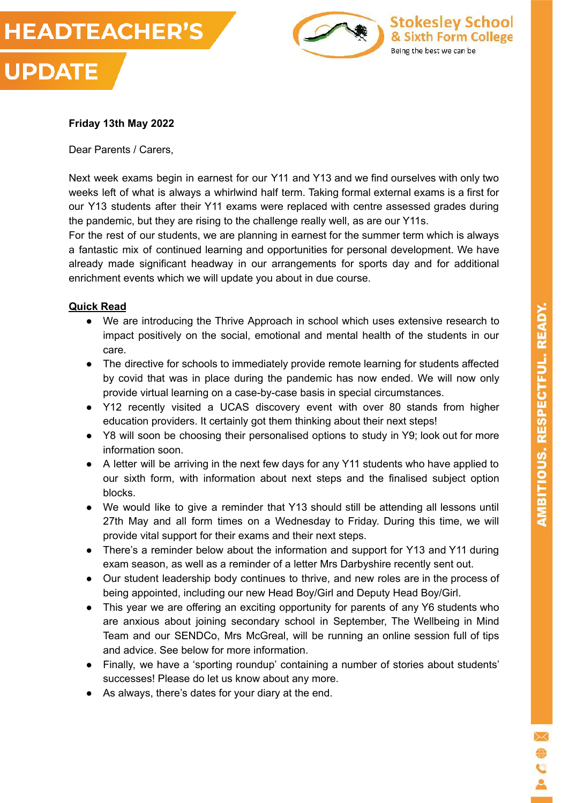



#### **Friday 13th May 2022**

Dear Parents / Carers,

Next week exams begin in earnest for our Y11 and Y13 and we find ourselves with only two weeks left of what is always a whirlwind half term. Taking formal external exams is a first for our Y13 students after their Y11 exams were replaced with centre assessed grades during the pandemic, but they are rising to the challenge really well, as are our Y11s.

For the rest of our students, we are planning in earnest for the summer term which is always a fantastic mix of continued learning and opportunities for personal development. We have already made significant headway in our arrangements for sports day and for additional enrichment events which we will update you about in due course.

#### **Quick Read**

- We are introducing the Thrive Approach in school which uses extensive research to impact positively on the social, emotional and mental health of the students in our care.
- The directive for schools to immediately provide remote learning for students affected by covid that was in place during the pandemic has now ended. We will now only provide virtual learning on a case-by-case basis in special circumstances.
- Y12 recently visited a UCAS discovery event with over 80 stands from higher education providers. It certainly got them thinking about their next steps!
- Y8 will soon be choosing their personalised options to study in Y9; look out for more information soon.
- A letter will be arriving in the next few days for any Y11 students who have applied to our sixth form, with information about next steps and the finalised subject option blocks.
- We would like to give a reminder that Y13 should still be attending all lessons until 27th May and all form times on a Wednesday to Friday. During this time, we will provide vital support for their exams and their next steps.
- There's a reminder below about the information and support for Y13 and Y11 during exam season, as well as a reminder of a letter Mrs Darbyshire recently sent out.
- Our student leadership body continues to thrive, and new roles are in the process of being appointed, including our new Head Boy/Girl and Deputy Head Boy/Girl.
- This year we are offering an exciting opportunity for parents of any Y6 students who are anxious about joining secondary school in September, The Wellbeing in Mind Team and our SENDCo, Mrs McGreal, will be running an online session full of tips and advice. See below for more information.
- Finally, we have a 'sporting roundup' containing a number of stories about students' successes! Please do let us know about any more.
- As always, there's dates for your diary at the end.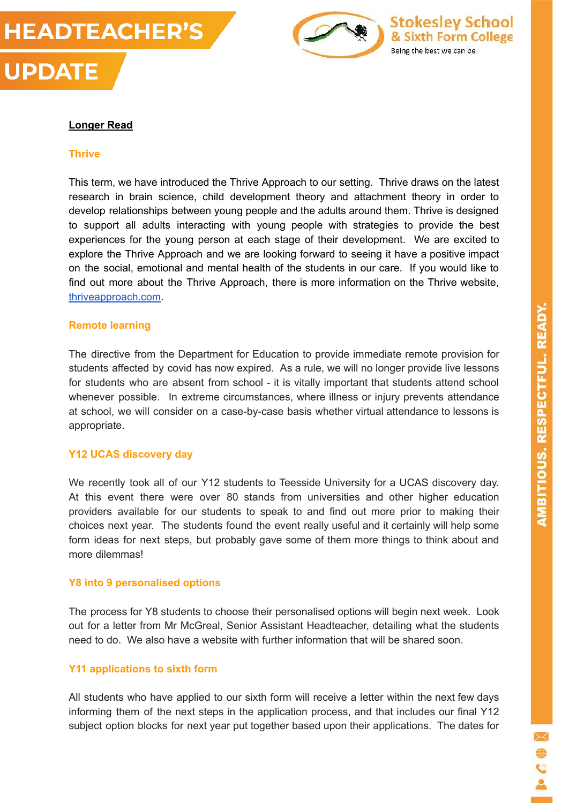



#### **Longer Read**

#### **Thrive**

This term, we have introduced the Thrive Approach to our setting. Thrive draws on the latest research in brain science, child development theory and attachment theory in order to develop relationships between young people and the adults around them. Thrive is designed to support all adults interacting with young people with strategies to provide the best experiences for the young person at each stage of their development. We are excited to explore the Thrive Approach and we are looking forward to seeing it have a positive impact on the social, emotional and mental health of the students in our care. If you would like to find out more about the Thrive Approach, there is more information on the Thrive website, [thriveapproach.com.](http://thriveapproach.com/)

#### **Remote learning**

The directive from the Department for Education to provide immediate remote provision for students affected by covid has now expired. As a rule, we will no longer provide live lessons for students who are absent from school - it is vitally important that students attend school whenever possible. In extreme circumstances, where illness or injury prevents attendance at school, we will consider on a case-by-case basis whether virtual attendance to lessons is appropriate.

#### **Y12 UCAS discovery day**

We recently took all of our Y12 students to Teesside University for a UCAS discovery day. At this event there were over 80 stands from universities and other higher education providers available for our students to speak to and find out more prior to making their choices next year. The students found the event really useful and it certainly will help some form ideas for next steps, but probably gave some of them more things to think about and more dilemmas!

#### **Y8 into 9 personalised options**

The process for Y8 students to choose their personalised options will begin next week. Look out for a letter from Mr McGreal, Senior Assistant Headteacher, detailing what the students need to do. We also have a website with further information that will be shared soon.

#### **Y11 applications to sixth form**

All students who have applied to our sixth form will receive a letter within the next few days informing them of the next steps in the application process, and that includes our final Y12 subject option blocks for next year put together based upon their applications. The dates for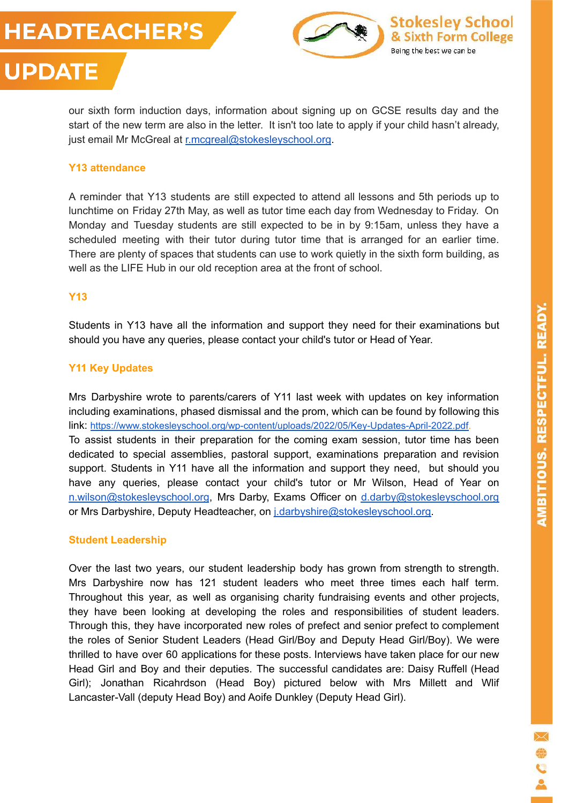# **HEADTEACHER'S**

**UPDATE** 



our sixth form induction days, information about signing up on GCSE results day and the start of the new term are also in the letter. It isn't too late to apply if your child hasn't already, just email Mr McGreal at [r.mcgreal@stokesleyschool.org](mailto:r.mcgreal@stokesleyschool.org).

#### **Y13 attendance**

A reminder that Y13 students are still expected to attend all lessons and 5th periods up to lunchtime on Friday 27th May, as well as tutor time each day from Wednesday to Friday. On Monday and Tuesday students are still expected to be in by 9:15am, unless they have a scheduled meeting with their tutor during tutor time that is arranged for an earlier time. There are plenty of spaces that students can use to work quietly in the sixth form building, as well as the LIFE Hub in our old reception area at the front of school.

#### **Y13**

Students in Y13 have all the information and support they need for their examinations but should you have any queries, please contact your child's tutor or Head of Year.

#### **Y11 Key Updates**

Mrs Darbyshire wrote to parents/carers of Y11 last week with updates on key information including examinations, phased dismissal and the prom, which can be found by following this link: [https://www.stokesleyschool.org/wp-content/uploads/2022/05/Key-Updates-April-2022.pdf.](https://www.stokesleyschool.org/wp-content/uploads/2022/05/Key-Updates-April-2022.pdf) To assist students in their preparation for the coming exam session, tutor time has been dedicated to special assemblies, pastoral support, examinations preparation and revision support. Students in Y11 have all the information and support they need, but should you have any queries, please contact your child's tutor or Mr Wilson, Head of Year on [n.wilson@stokesleyschool.org](mailto:n.wilson@stokesleyschool.org), Mrs Darby, Exams Officer on [d.darby@stokesleyschool.org](mailto:d.darby@stokesleyschool.org) or Mrs Darbyshire, Deputy Headteacher, on [j.darbyshire@stokesleyschool.org.](mailto:j.darbyshire@stokesleyschool.org)

#### **Student Leadership**

Over the last two years, our student leadership body has grown from strength to strength. Mrs Darbyshire now has 121 student leaders who meet three times each half term. Throughout this year, as well as organising charity fundraising events and other projects, they have been looking at developing the roles and responsibilities of student leaders. Through this, they have incorporated new roles of prefect and senior prefect to complement the roles of Senior Student Leaders (Head Girl/Boy and Deputy Head Girl/Boy). We were thrilled to have over 60 applications for these posts. Interviews have taken place for our new Head Girl and Boy and their deputies. The successful candidates are: Daisy Ruffell (Head Girl); Jonathan Ricahrdson (Head Boy) pictured below with Mrs Millett and Wlif Lancaster-Vall (deputy Head Boy) and Aoife Dunkley (Deputy Head Girl).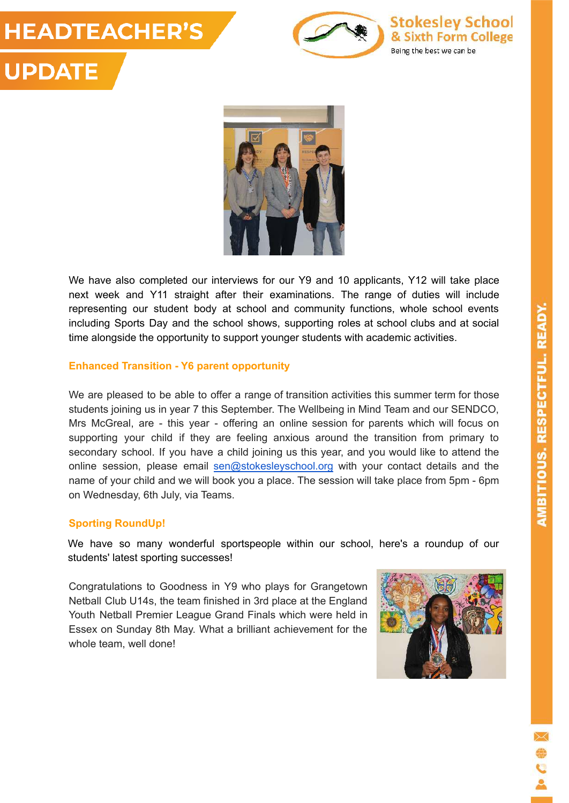### **HEADTEACHER'S UPDATE**



**Stokesley School** & Sixth Form College Being the best we can be



We have also completed our interviews for our Y9 and 10 applicants, Y12 will take place next week and Y11 straight after their examinations. The range of duties will include representing our student body at school and community functions, whole school events including Sports Day and the school shows, supporting roles at school clubs and at social time alongside the opportunity to support younger students with academic activities.

#### **Enhanced Transition - Y6 parent opportunity**

We are pleased to be able to offer a range of transition activities this summer term for those students joining us in year 7 this September. The Wellbeing in Mind Team and our SENDCO, Mrs McGreal, are - this year - offering an online session for parents which will focus on supporting your child if they are feeling anxious around the transition from primary to secondary school. If you have a child joining us this year, and you would like to attend the online session, please email [sen@stokesleyschool.org](mailto:sen@stokesleyschool.org) with your contact details and the name of your child and we will book you a place. The session will take place from 5pm - 6pm on Wednesday, 6th July, via Teams.

#### **Sporting RoundUp!**

We have so many wonderful sportspeople within our school, here's a roundup of our students' latest sporting successes!

Congratulations to Goodness in Y9 who plays for Grangetown Netball Club U14s, the team finished in 3rd place at the England Youth Netball Premier League Grand Finals which were held in Essex on Sunday 8th May. What a brilliant achievement for the whole team, well done!

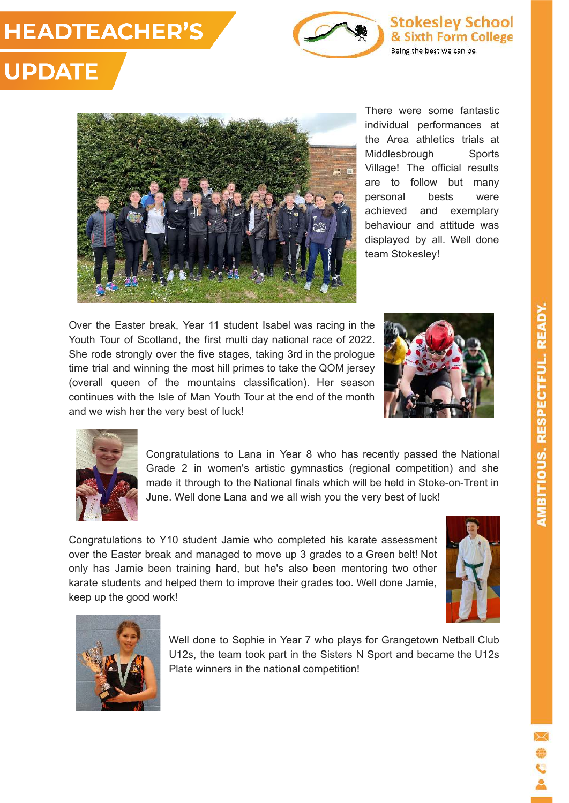### **HEADTEACHER'S**



**Stokesley School** & Sixth Form College Being the best we can be

## **UPDATE**



There were some fantastic individual performances at the Area athletics trials at Middlesbrough Sports Village! The official results are to follow but many personal bests were achieved and exemplary behaviour and attitude was displayed by all. Well done team Stokesley!

Over the Easter break, Year 11 student Isabel was racing in the Youth Tour of Scotland, the first multi day national race of 2022. She rode strongly over the five stages, taking 3rd in the prologue time trial and winning the most hill primes to take the QOM jersey (overall queen of the mountains classification). Her season continues with the Isle of Man Youth Tour at the end of the month and we wish her the very best of luck!





Congratulations to Lana in Year 8 who has recently passed the National Grade 2 in women's artistic gymnastics (regional competition) and she made it through to the National finals which will be held in Stoke-on-Trent in June. Well done Lana and we all wish you the very best of luck!

Congratulations to Y10 student Jamie who completed his karate assessment over the Easter break and managed to move up 3 grades to a Green belt! Not only has Jamie been training hard, but he's also been mentoring two other karate students and helped them to improve their grades too. Well done Jamie, keep up the good work!





Well done to Sophie in Year 7 who plays for Grangetown Netball Club U12s, the team took part in the Sisters N Sport and became the U12s Plate winners in the national competition!